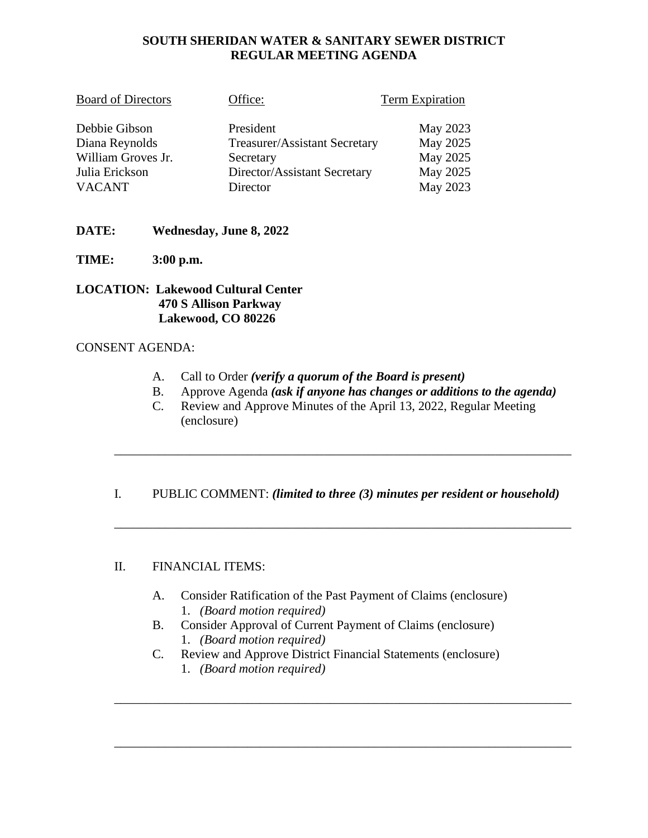# **SOUTH SHERIDAN WATER & SANITARY SEWER DISTRICT REGULAR MEETING AGENDA**

| <b>Board of Directors</b> | Office:                       | <b>Term Expiration</b> |
|---------------------------|-------------------------------|------------------------|
| Debbie Gibson             | President                     | May 2023               |
| Diana Reynolds            | Treasurer/Assistant Secretary | May 2025               |
| William Groves Jr.        | Secretary                     | May 2025               |
| Julia Erickson            | Director/Assistant Secretary  | May 2025               |
| <b>VACANT</b>             | Director                      | May 2023               |

# **DATE: Wednesday, June 8, 2022**

**TIME: 3:00 p.m.**

**LOCATION: Lakewood Cultural Center 470 S Allison Parkway Lakewood, CO 80226**

#### CONSENT AGENDA:

- A. Call to Order *(verify a quorum of the Board is present)*
- B. Approve Agenda *(ask if anyone has changes or additions to the agenda)*
- C. Review and Approve Minutes of the April 13, 2022, Regular Meeting (enclosure)

\_\_\_\_\_\_\_\_\_\_\_\_\_\_\_\_\_\_\_\_\_\_\_\_\_\_\_\_\_\_\_\_\_\_\_\_\_\_\_\_\_\_\_\_\_\_\_\_\_\_\_\_\_\_\_\_\_\_\_\_\_\_\_\_\_\_\_\_\_\_\_\_

### I. PUBLIC COMMENT: *(limited to three (3) minutes per resident or household)*

\_\_\_\_\_\_\_\_\_\_\_\_\_\_\_\_\_\_\_\_\_\_\_\_\_\_\_\_\_\_\_\_\_\_\_\_\_\_\_\_\_\_\_\_\_\_\_\_\_\_\_\_\_\_\_\_\_\_\_\_\_\_\_\_\_\_\_\_\_\_\_\_

### II. FINANCIAL ITEMS:

- A. Consider Ratification of the Past Payment of Claims (enclosure) 1. *(Board motion required)*
- B. Consider Approval of Current Payment of Claims (enclosure) 1. *(Board motion required)*
- C. Review and Approve District Financial Statements (enclosure)

\_\_\_\_\_\_\_\_\_\_\_\_\_\_\_\_\_\_\_\_\_\_\_\_\_\_\_\_\_\_\_\_\_\_\_\_\_\_\_\_\_\_\_\_\_\_\_\_\_\_\_\_\_\_\_\_\_\_\_\_\_\_\_\_\_\_\_\_\_\_\_\_

\_\_\_\_\_\_\_\_\_\_\_\_\_\_\_\_\_\_\_\_\_\_\_\_\_\_\_\_\_\_\_\_\_\_\_\_\_\_\_\_\_\_\_\_\_\_\_\_\_\_\_\_\_\_\_\_\_\_\_\_\_\_\_\_\_\_\_\_\_\_\_\_

1. *(Board motion required)*